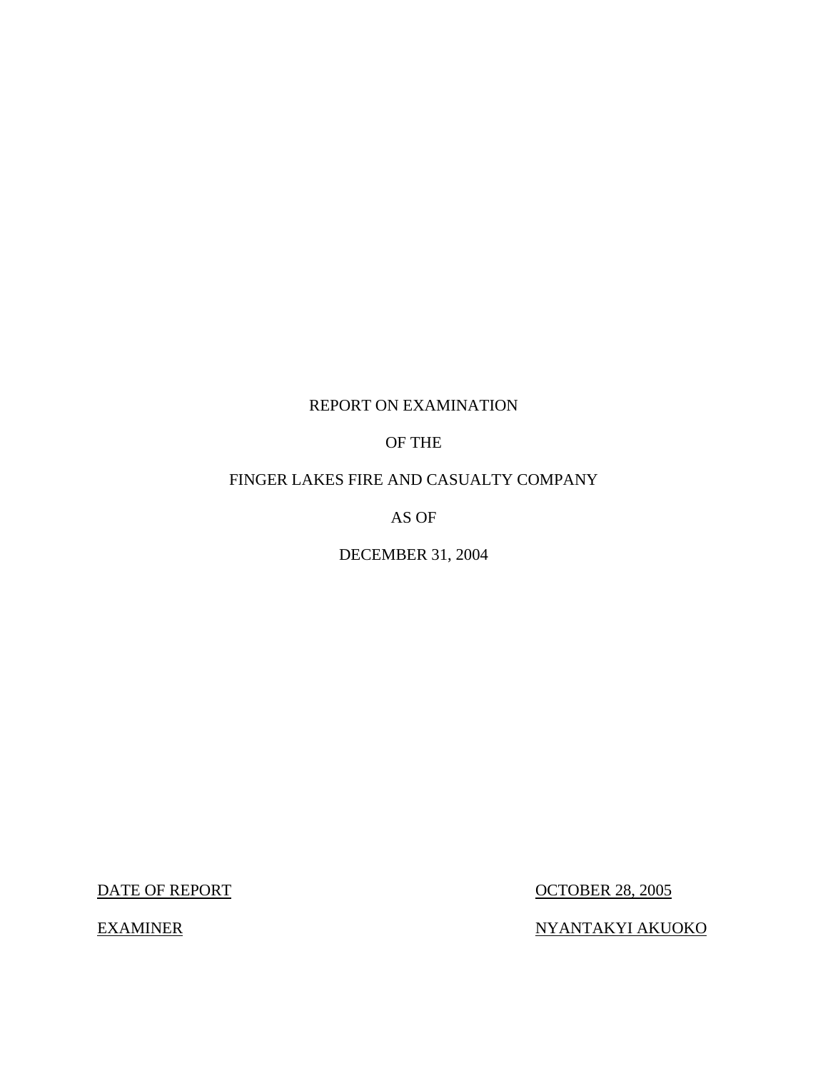## REPORT ON EXAMINATION

OF THE

## FINGER LAKES FIRE AND CASUALTY COMPANY

AS OF

DECEMBER 31, 2004

DATE OF REPORT OCTOBER 28, 2005

EXAMINER NYANTAKYI AKUOKO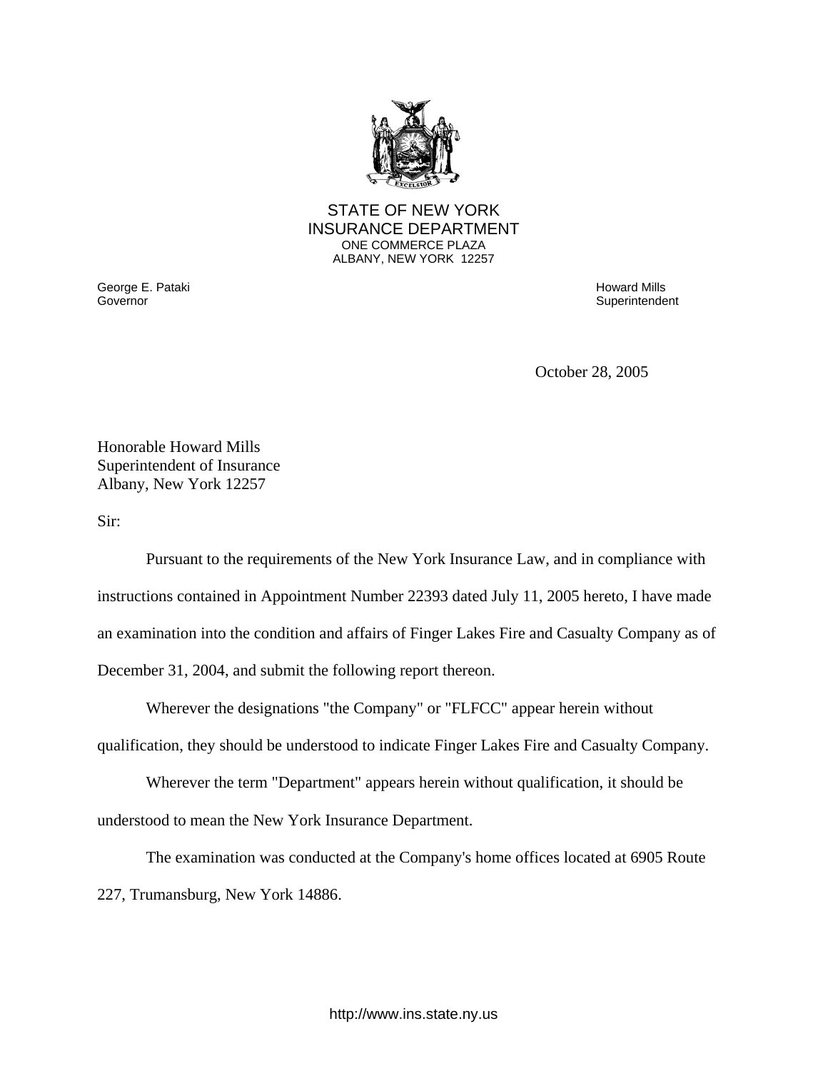

## STATE OF NEW YORK INSURANCE DEPARTMENT ONE COMMERCE PLAZA ALBANY, NEW YORK 12257

George E. Pataki Howard Mills

Superintendent

October 28, 2005

Honorable Howard Mills Superintendent of Insurance Albany, New York 12257

Sir:

Pursuant to the requirements of the New York Insurance Law, and in compliance with instructions contained in Appointment Number 22393 dated July 11, 2005 hereto, I have made an examination into the condition and affairs of Finger Lakes Fire and Casualty Company as of December 31, 2004, and submit the following report thereon.

Wherever the designations "the Company" or "FLFCC" appear herein without

qualification, they should be understood to indicate Finger Lakes Fire and Casualty Company.

Wherever the term "Department" appears herein without qualification, it should be understood to mean the New York Insurance Department.

The examination was conducted at the Company's home offices located at 6905 Route 227, Trumansburg, New York 14886.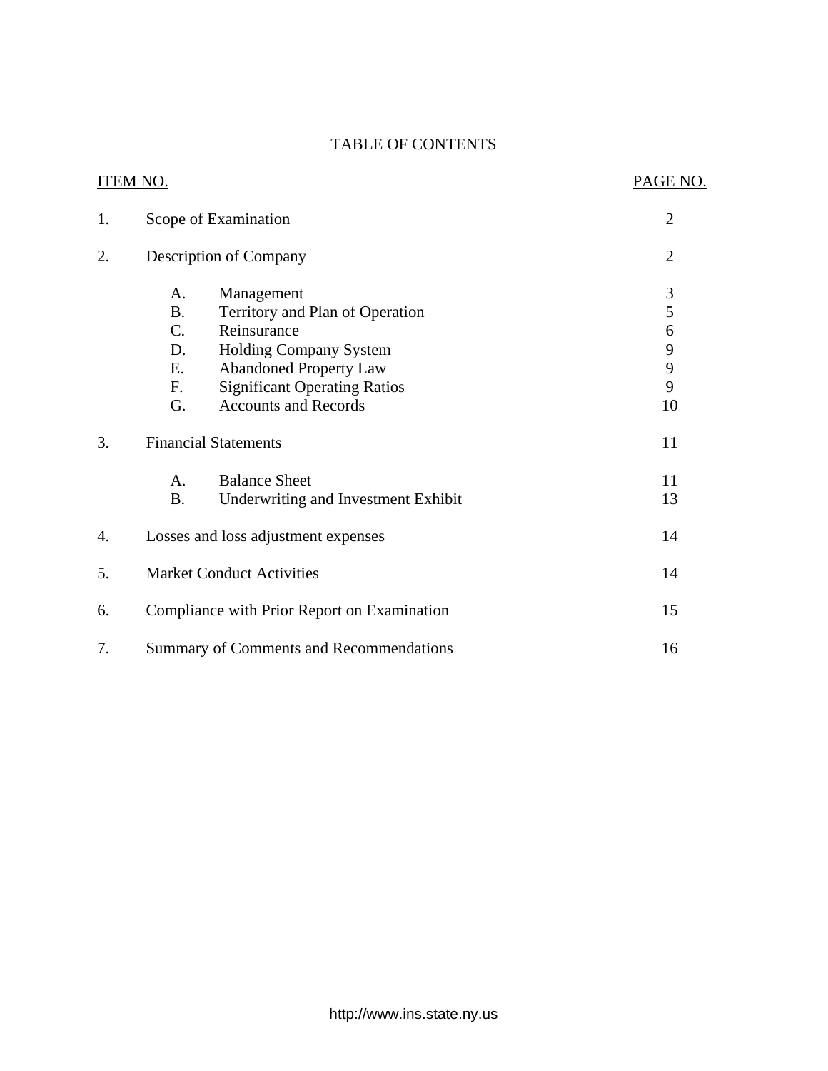## TABLE OF CONTENTS

| <u>ITEM NO.</u> |           | PAGE NO.                                    |                |
|-----------------|-----------|---------------------------------------------|----------------|
| 1.              |           | Scope of Examination                        | $\overline{2}$ |
| 2.              |           | <b>Description of Company</b>               | $\overline{2}$ |
|                 | A.        | Management                                  | $\mathfrak{Z}$ |
|                 | <b>B.</b> | Territory and Plan of Operation             | 5              |
|                 | C.        | Reinsurance                                 | 6              |
|                 | D.        | <b>Holding Company System</b>               | 9              |
|                 | E.        | <b>Abandoned Property Law</b>               | 9              |
|                 | F.        | <b>Significant Operating Ratios</b>         | 9              |
|                 | G.        | <b>Accounts and Records</b>                 | 10             |
| 3.              |           | <b>Financial Statements</b>                 | 11             |
|                 | A.        | <b>Balance Sheet</b>                        | 11             |
|                 | <b>B.</b> | Underwriting and Investment Exhibit         | 13             |
| 4.              |           | Losses and loss adjustment expenses         | 14             |
| 5.              |           | <b>Market Conduct Activities</b>            | 14             |
| 6.              |           | Compliance with Prior Report on Examination | 15             |
| 7.              |           | Summary of Comments and Recommendations     | 16             |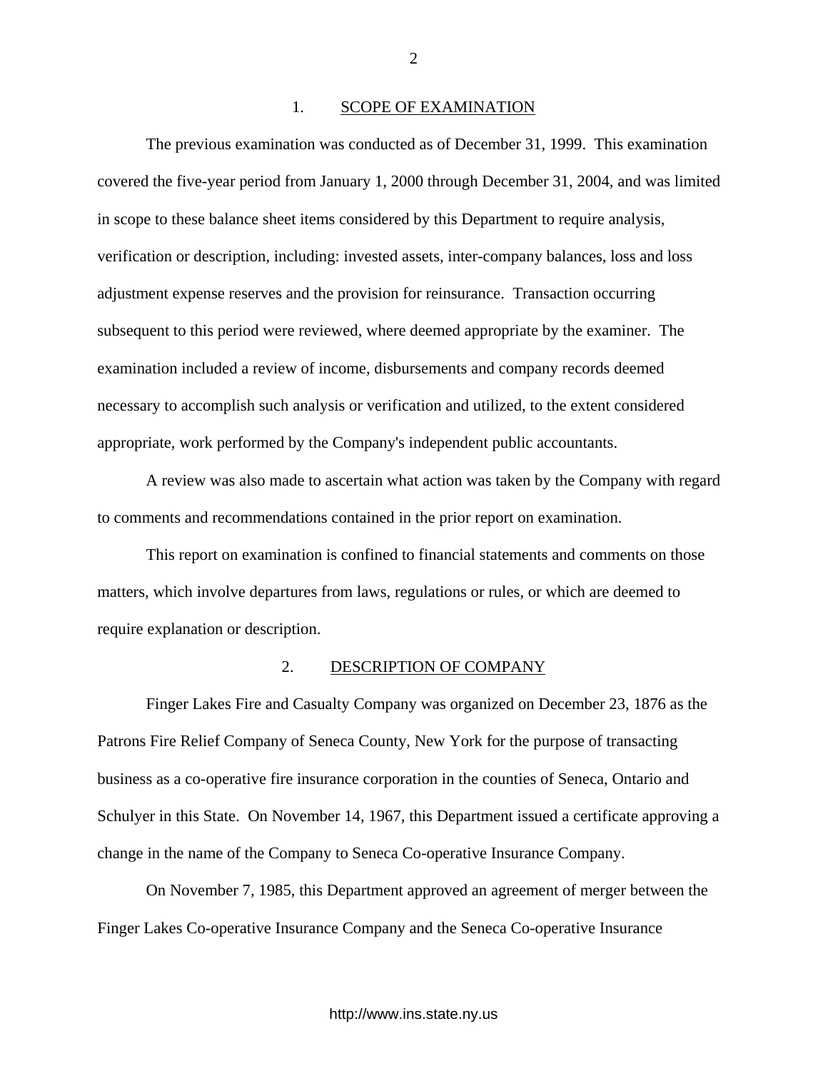#### 1. SCOPE OF EXAMINATION

The previous examination was conducted as of December 31, 1999. This examination covered the five-year period from January 1, 2000 through December 31, 2004, and was limited in scope to these balance sheet items considered by this Department to require analysis, verification or description, including: invested assets, inter-company balances, loss and loss adjustment expense reserves and the provision for reinsurance. Transaction occurring subsequent to this period were reviewed, where deemed appropriate by the examiner. The examination included a review of income, disbursements and company records deemed necessary to accomplish such analysis or verification and utilized, to the extent considered appropriate, work performed by the Company's independent public accountants.

A review was also made to ascertain what action was taken by the Company with regard to comments and recommendations contained in the prior report on examination.

This report on examination is confined to financial statements and comments on those matters, which involve departures from laws, regulations or rules, or which are deemed to require explanation or description.

#### 2. DESCRIPTION OF COMPANY

Finger Lakes Fire and Casualty Company was organized on December 23, 1876 as the Patrons Fire Relief Company of Seneca County, New York for the purpose of transacting business as a co-operative fire insurance corporation in the counties of Seneca, Ontario and Schulyer in this State. On November 14, 1967, this Department issued a certificate approving a change in the name of the Company to Seneca Co-operative Insurance Company.

On November 7, 1985, this Department approved an agreement of merger between the Finger Lakes Co-operative Insurance Company and the Seneca Co-operative Insurance

2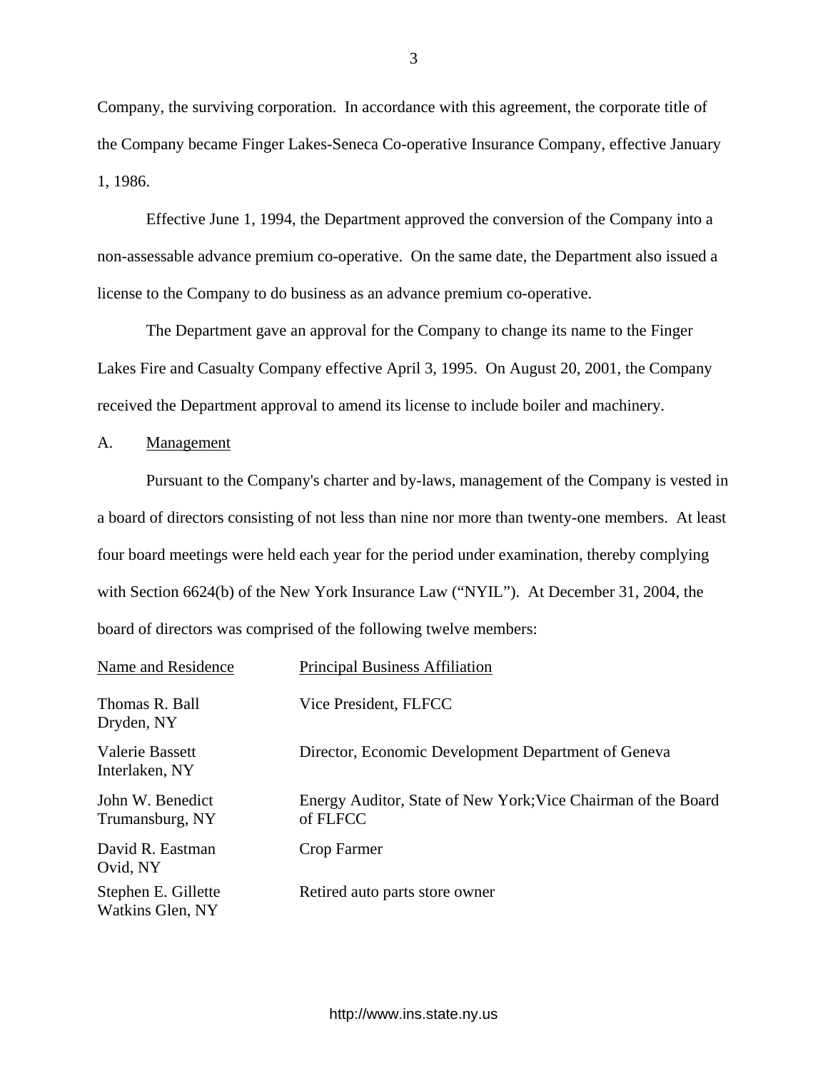<span id="page-4-0"></span>Company, the surviving corporation. In accordance with this agreement, the corporate title of the Company became Finger Lakes-Seneca Co-operative Insurance Company, effective January 1, 1986.

Effective June 1, 1994, the Department approved the conversion of the Company into a non-assessable advance premium co-operative. On the same date, the Department also issued a license to the Company to do business as an advance premium co-operative.

received the Department approval to amend its license to include boiler and machinery.<br>A. Management The Department gave an approval for the Company to change its name to the Finger Lakes Fire and Casualty Company effective April 3, 1995. On August 20, 2001, the Company

Pursuant to the Company's charter and by-laws, management of the Company is vested in a board of directors consisting of not less than nine nor more than twenty-one members. At least four board meetings were held each year for the period under examination, thereby complying with Section 6624(b) of the New York Insurance Law ("NYIL"). At December 31, 2004, the board of directors was comprised of the following twelve members:

| Name and Residence                      | <b>Principal Business Affiliation</b>                                     |
|-----------------------------------------|---------------------------------------------------------------------------|
| Thomas R. Ball<br>Dryden, NY            | Vice President, FLFCC                                                     |
| Valerie Bassett<br>Interlaken, NY       | Director, Economic Development Department of Geneva                       |
| John W. Benedict<br>Trumansburg, NY     | Energy Auditor, State of New York; Vice Chairman of the Board<br>of FLFCC |
| David R. Eastman<br>Ovid, NY            | Crop Farmer                                                               |
| Stephen E. Gillette<br>Watkins Glen, NY | Retired auto parts store owner                                            |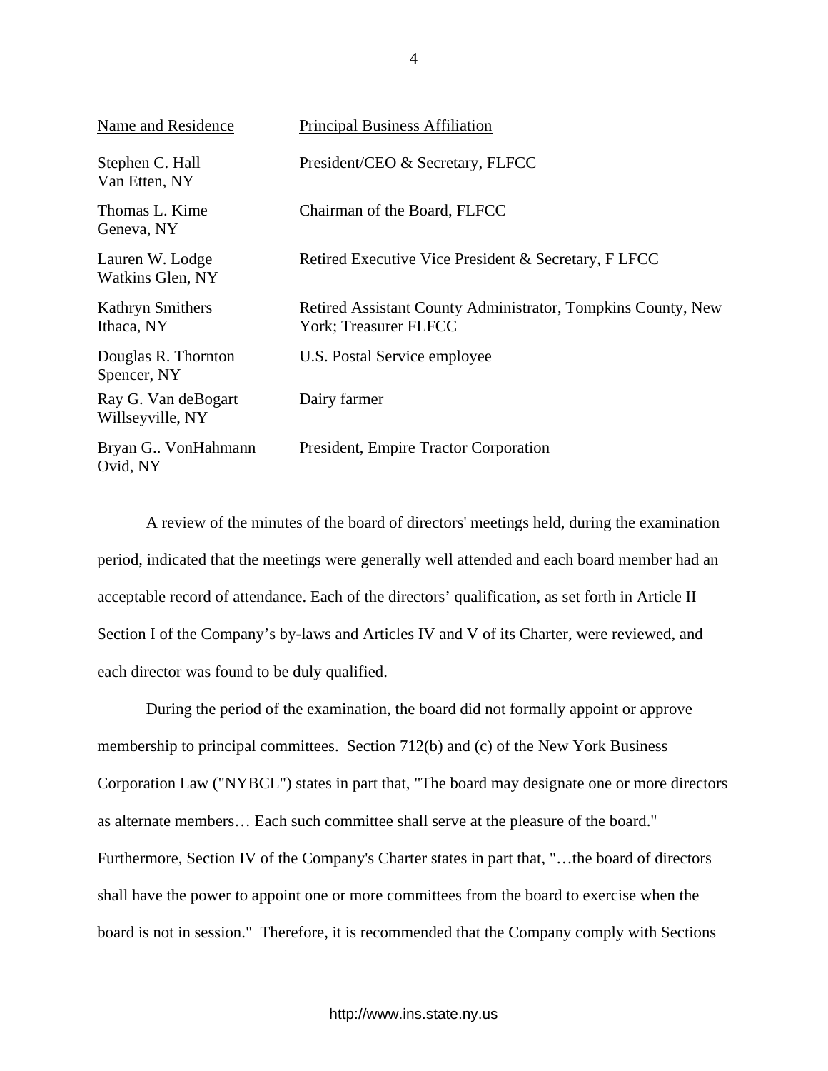| Name and Residence                      | <b>Principal Business Affiliation</b>                                                 |
|-----------------------------------------|---------------------------------------------------------------------------------------|
| Stephen C. Hall<br>Van Etten, NY        | President/CEO & Secretary, FLFCC                                                      |
| Thomas L. Kime<br>Geneva, NY            | Chairman of the Board, FLFCC                                                          |
| Lauren W. Lodge<br>Watkins Glen, NY     | Retired Executive Vice President & Secretary, F LFCC                                  |
| Kathryn Smithers<br>Ithaca, NY          | Retired Assistant County Administrator, Tompkins County, New<br>York; Treasurer FLFCC |
| Douglas R. Thornton<br>Spencer, NY      | U.S. Postal Service employee                                                          |
| Ray G. Van deBogart<br>Willseyville, NY | Dairy farmer                                                                          |
| Bryan G., VonHahmann<br>Ovid, NY        | President, Empire Tractor Corporation                                                 |

A review of the minutes of the board of directors' meetings held, during the examination period, indicated that the meetings were generally well attended and each board member had an acceptable record of attendance. Each of the directors' qualification, as set forth in Article II Section I of the Company's by-laws and Articles IV and V of its Charter, were reviewed, and each director was found to be duly qualified.

During the period of the examination, the board did not formally appoint or approve membership to principal committees. Section 712(b) and (c) of the New York Business Corporation Law ("NYBCL") states in part that, "The board may designate one or more directors as alternate members… Each such committee shall serve at the pleasure of the board." Furthermore, Section IV of the Company's Charter states in part that, "…the board of directors shall have the power to appoint one or more committees from the board to exercise when the board is not in session." Therefore, it is recommended that the Company comply with Sections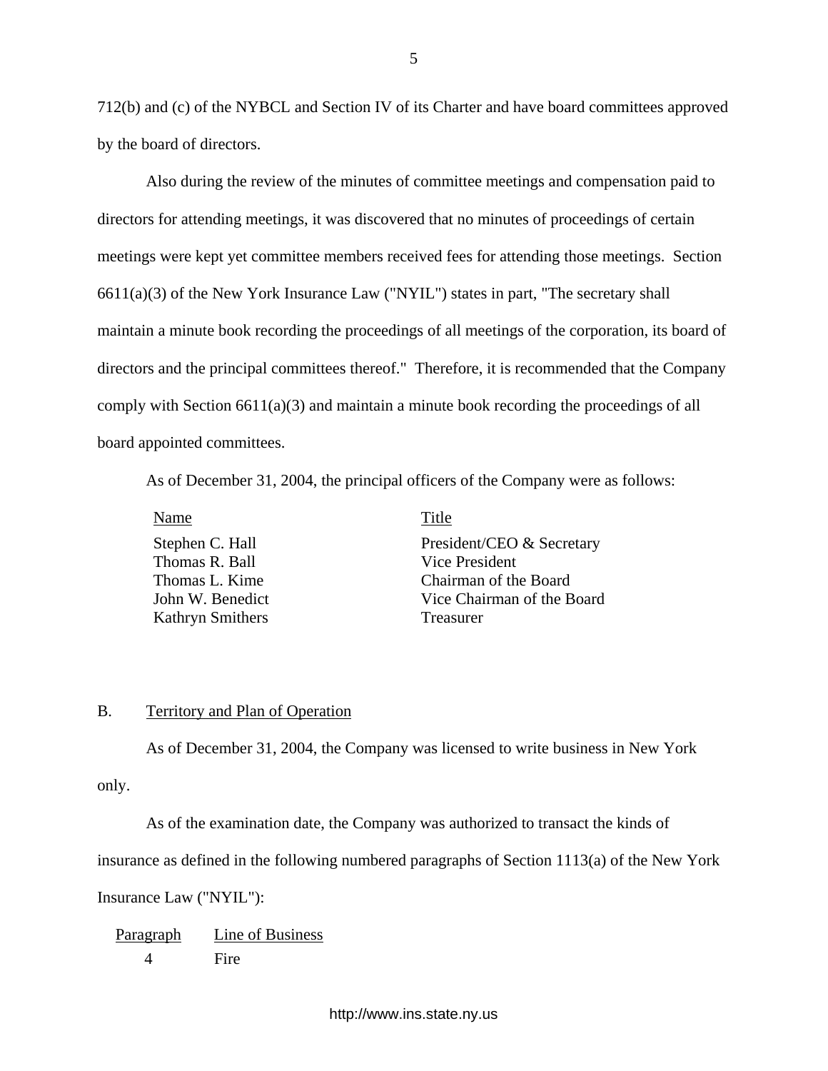<span id="page-6-0"></span>712(b) and (c) of the NYBCL and Section IV of its Charter and have board committees approved by the board of directors.

Also during the review of the minutes of committee meetings and compensation paid to directors for attending meetings, it was discovered that no minutes of proceedings of certain meetings were kept yet committee members received fees for attending those meetings. Section  $6611(a)(3)$  of the New York Insurance Law ("NYIL") states in part, "The secretary shall maintain a minute book recording the proceedings of all meetings of the corporation, its board of directors and the principal committees thereof." Therefore, it is recommended that the Company comply with Section 6611(a)(3) and maintain a minute book recording the proceedings of all board appointed committees.

As of December 31, 2004, the principal officers of the Company were as follows:

Name Title

Thomas R. Ball Vice President Kathryn Smithers Treasurer

Stephen C. Hall President/CEO & Secretary Thomas L. Kime Chairman of the Board John W. Benedict Vice Chairman of the Board

#### B. Territory and Plan of Operation

As of December 31, 2004, the Company was licensed to write business in New York

only.

As of the examination date, the Company was authorized to transact the kinds of

insurance as defined in the following numbered paragraphs of Section  $1113(a)$  of the New York

Insurance Law ("NYIL"):

Paragraph Line of Business 4 Fire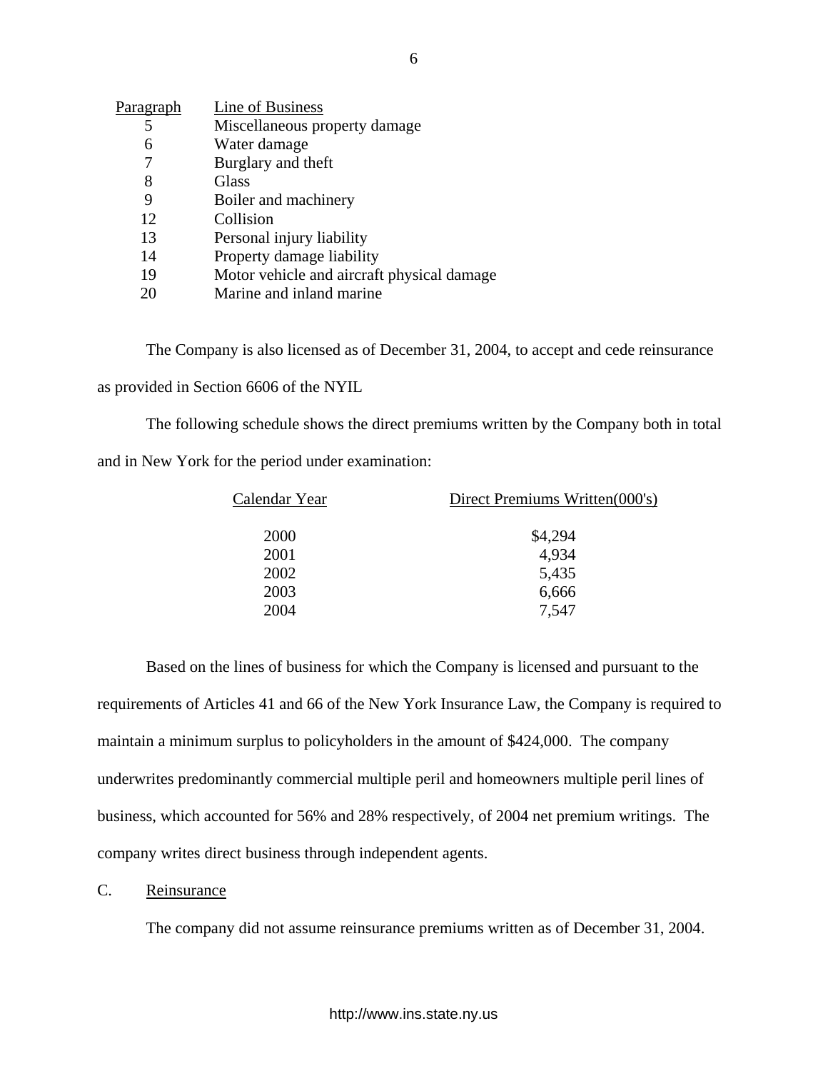<span id="page-7-0"></span>

| Paragraph | Line of Business                           |
|-----------|--------------------------------------------|
| 5         | Miscellaneous property damage              |
| 6         | Water damage                               |
| 7         | Burglary and theft                         |
| 8         | Glass                                      |
| 9         | Boiler and machinery                       |
| 12        | Collision                                  |
| 13        | Personal injury liability                  |
| 14        | Property damage liability                  |
| 19        | Motor vehicle and aircraft physical damage |
| 20        | Marine and inland marine                   |

The Company is also licensed as of December 31, 2004, to accept and cede reinsurance

as provided in Section 6606 of the NYIL

The following schedule shows the direct premiums written by the Company both in total

and in New York for the period under examination:

| Calendar Year | Direct Premiums Written(000's) |  |  |
|---------------|--------------------------------|--|--|
| 2000          | \$4,294                        |  |  |
| 2001          | 4,934                          |  |  |
| 2002          | 5,435                          |  |  |
| 2003          | 6,666                          |  |  |
| 2004          | 7,547                          |  |  |

Based on the lines of business for which the Company is licensed and pursuant to the requirements of Articles 41 and 66 of the New York Insurance Law, the Company is required to maintain a minimum surplus to policyholders in the amount of \$424,000. The company underwrites predominantly commercial multiple peril and homeowners multiple peril lines of business, which accounted for 56% and 28% respectively, of 2004 net premium writings. The company writes direct business through independent agents.

#### C. Reinsurance

The company did not assume reinsurance premiums written as of December 31, 2004.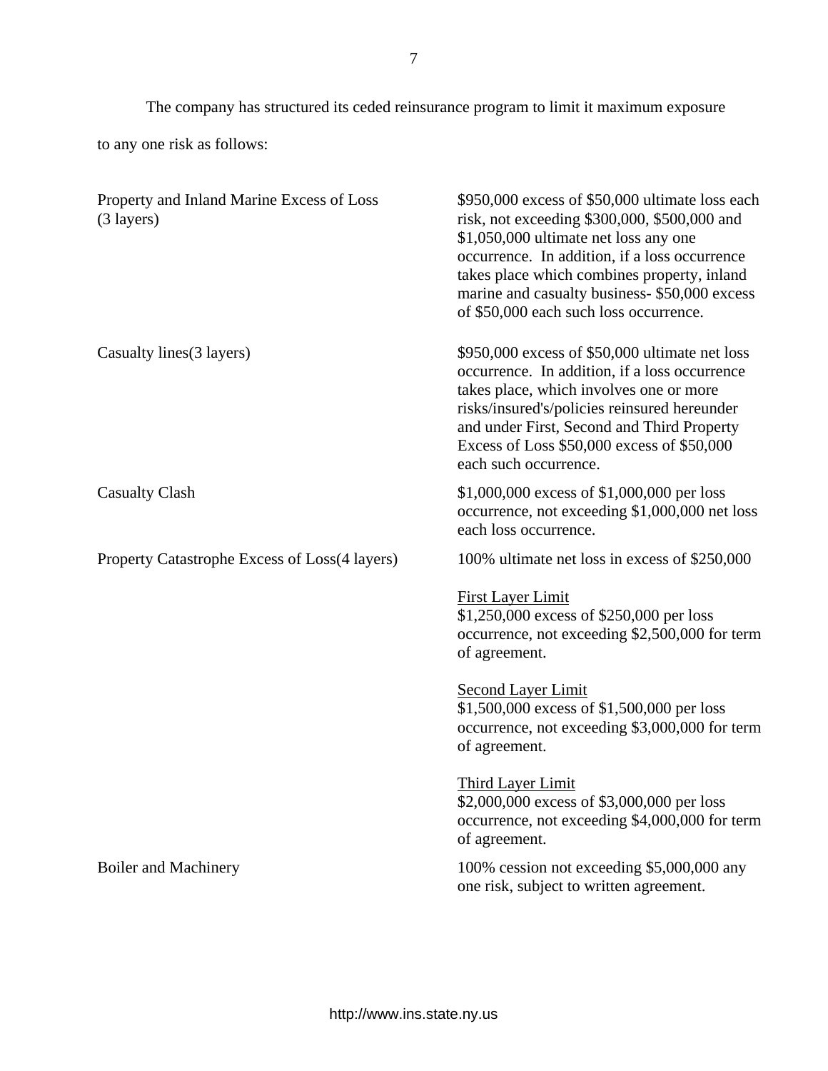The company has structured its ceded reinsurance program to limit it maximum exposure

to any one risk as follows:

| Property and Inland Marine Excess of Loss<br>$(3$ layers) | \$950,000 excess of \$50,000 ultimate loss each<br>risk, not exceeding \$300,000, \$500,000 and<br>\$1,050,000 ultimate net loss any one<br>occurrence. In addition, if a loss occurrence<br>takes place which combines property, inland<br>marine and casualty business- \$50,000 excess<br>of \$50,000 each such loss occurrence. |
|-----------------------------------------------------------|-------------------------------------------------------------------------------------------------------------------------------------------------------------------------------------------------------------------------------------------------------------------------------------------------------------------------------------|
| Casualty lines (3 layers)                                 | \$950,000 excess of \$50,000 ultimate net loss<br>occurrence. In addition, if a loss occurrence<br>takes place, which involves one or more<br>risks/insured's/policies reinsured hereunder<br>and under First, Second and Third Property<br>Excess of Loss \$50,000 excess of \$50,000<br>each such occurrence.                     |
| <b>Casualty Clash</b>                                     | \$1,000,000 excess of \$1,000,000 per loss<br>occurrence, not exceeding \$1,000,000 net loss<br>each loss occurrence.                                                                                                                                                                                                               |
| Property Catastrophe Excess of Loss(4 layers)             | 100% ultimate net loss in excess of \$250,000                                                                                                                                                                                                                                                                                       |
|                                                           | <b>First Layer Limit</b><br>\$1,250,000 excess of \$250,000 per loss<br>occurrence, not exceeding \$2,500,000 for term<br>of agreement.                                                                                                                                                                                             |
|                                                           | <b>Second Layer Limit</b><br>\$1,500,000 excess of \$1,500,000 per loss<br>occurrence, not exceeding \$3,000,000 for term<br>of agreement.                                                                                                                                                                                          |
|                                                           | Third Layer Limit<br>\$2,000,000 excess of \$3,000,000 per loss<br>occurrence, not exceeding \$4,000,000 for term<br>of agreement.                                                                                                                                                                                                  |
| <b>Boiler and Machinery</b>                               | 100% cession not exceeding \$5,000,000 any<br>one risk, subject to written agreement.                                                                                                                                                                                                                                               |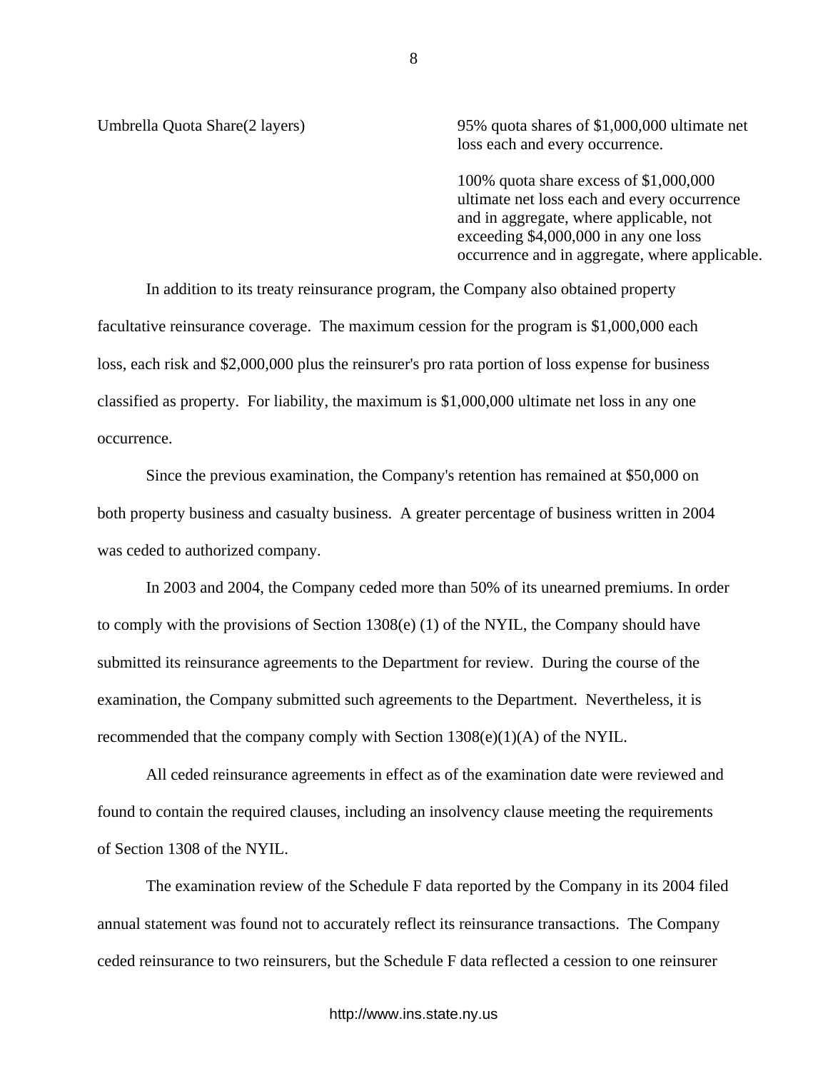Umbrella Quota Share(2 layers) 95% quota shares of \$1,000,000 ultimate net loss each and every occurrence.

> 100% quota share excess of \$1,000,000 ultimate net loss each and every occurrence and in aggregate, where applicable, not exceeding \$4,000,000 in any one loss occurrence and in aggregate, where applicable.

In addition to its treaty reinsurance program, the Company also obtained property facultative reinsurance coverage. The maximum cession for the program is \$1,000,000 each loss, each risk and \$2,000,000 plus the reinsurer's pro rata portion of loss expense for business classified as property. For liability, the maximum is \$1,000,000 ultimate net loss in any one occurrence.

Since the previous examination, the Company's retention has remained at \$50,000 on both property business and casualty business. A greater percentage of business written in 2004 was ceded to authorized company.

In 2003 and 2004, the Company ceded more than 50% of its unearned premiums. In order to comply with the provisions of Section 1308(e) (1) of the NYIL, the Company should have submitted its reinsurance agreements to the Department for review. During the course of the examination, the Company submitted such agreements to the Department. Nevertheless, it is recommended that the company comply with Section  $1308(e)(1)(A)$  of the NYIL.

All ceded reinsurance agreements in effect as of the examination date were reviewed and found to contain the required clauses, including an insolvency clause meeting the requirements of Section 1308 of the NYIL.

The examination review of the Schedule F data reported by the Company in its 2004 filed annual statement was found not to accurately reflect its reinsurance transactions. The Company ceded reinsurance to two reinsurers, but the Schedule F data reflected a cession to one reinsurer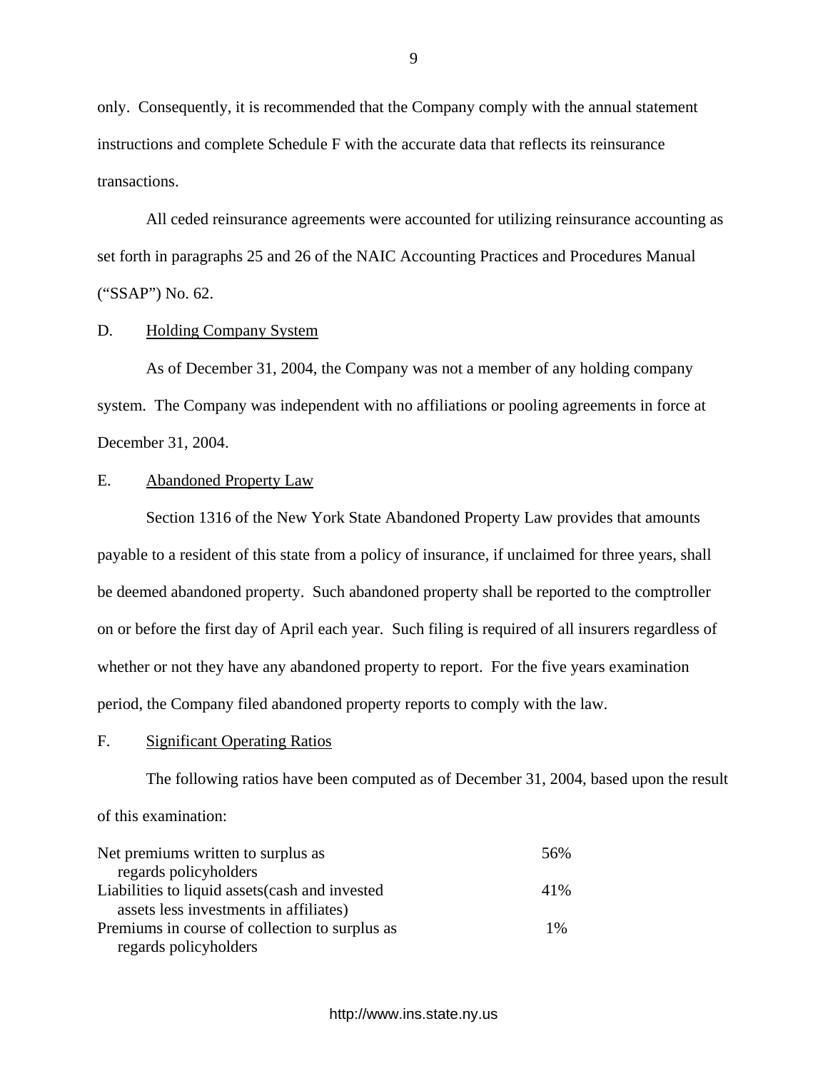<span id="page-10-0"></span>only. Consequently, it is recommended that the Company comply with the annual statement instructions and complete Schedule F with the accurate data that reflects its reinsurance transactions.

 All ceded reinsurance agreements were accounted for utilizing reinsurance accounting as set forth in paragraphs 25 and 26 of the NAIC Accounting Practices and Procedures Manual ("SSAP") No. 62.

D. Holding Company System

As of December 31, 2004, the Company was not a member of any holding company system. The Company was independent with no affiliations or pooling agreements in force at December 31, 2004.

#### E. Abandoned Property Law

Section 1316 of the New York State Abandoned Property Law provides that amounts payable to a resident of this state from a policy of insurance, if unclaimed for three years, shall be deemed abandoned property. Such abandoned property shall be reported to the comptroller on or before the first day of April each year. Such filing is required of all insurers regardless of whether or not they have any abandoned property to report. For the five years examination period, the Company filed abandoned property reports to comply with the law.

#### F. Significant Operating Ratios

The following ratios have been computed as of December 31, 2004, based upon the result

of this examination:

| Net premiums written to surplus as              | 56% |
|-------------------------------------------------|-----|
| regards policyholders                           |     |
| Liabilities to liquid assets (cash and invested | 41% |
| assets less investments in affiliates)          |     |
| Premiums in course of collection to surplus as  | 1%  |
| regards policyholders                           |     |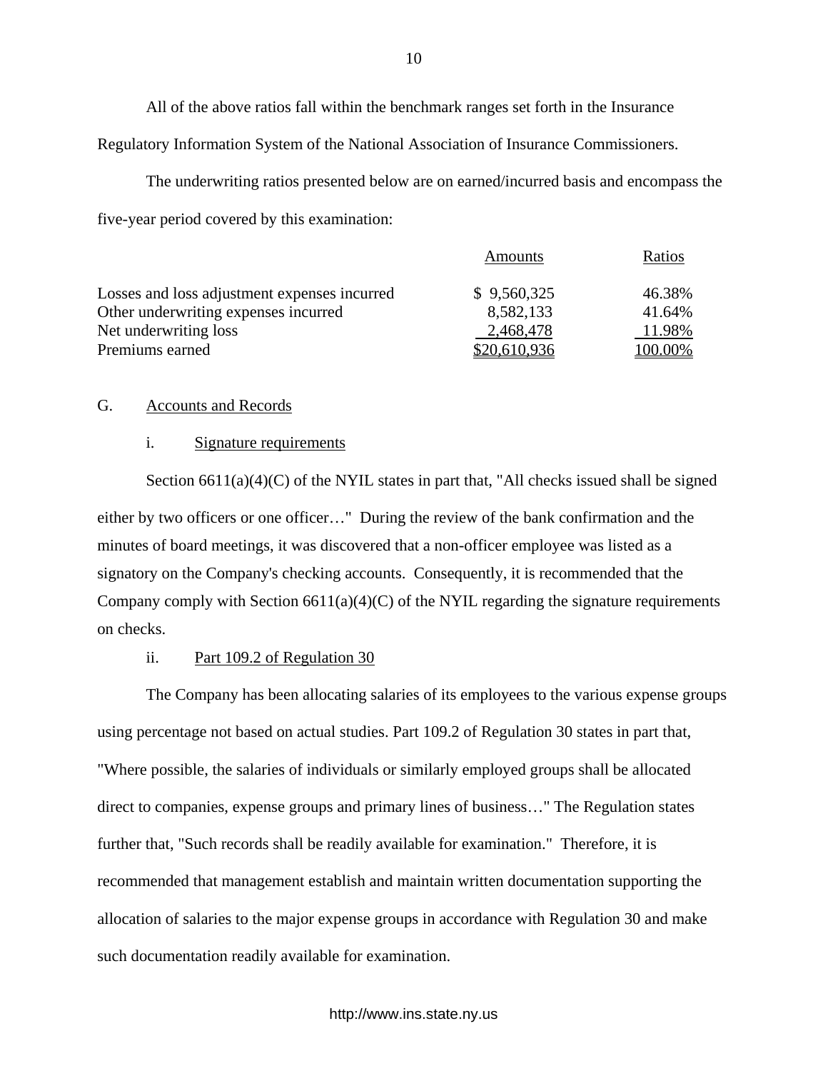All of the above ratios fall within the benchmark ranges set forth in the Insurance Regulatory Information System of the National Association of Insurance Commissioners.

The underwriting ratios presented below are on earned/incurred basis and encompass the five-year period covered by this examination:

|                                              | Amounts      | Ratios  |
|----------------------------------------------|--------------|---------|
| Losses and loss adjustment expenses incurred | \$9,560,325  | 46.38%  |
| Other underwriting expenses incurred         | 8,582,133    | 41.64%  |
| Net underwriting loss                        | 2,468,478    | 11.98%  |
| Premiums earned                              | \$20,610,936 | 100.00% |

### G. Accounts and Records

## i. Signature requirements

Section  $6611(a)(4)(C)$  of the NYIL states in part that, "All checks issued shall be signed either by two officers or one officer…" During the review of the bank confirmation and the minutes of board meetings, it was discovered that a non-officer employee was listed as a signatory on the Company's checking accounts. Consequently, it is recommended that the Company comply with Section  $6611(a)(4)(C)$  of the NYIL regarding the signature requirements on checks.

## ii. Part 109.2 of Regulation 30

The Company has been allocating salaries of its employees to the various expense groups using percentage not based on actual studies. Part 109.2 of Regulation 30 states in part that, "Where possible, the salaries of individuals or similarly employed groups shall be allocated direct to companies, expense groups and primary lines of business…" The Regulation states further that, "Such records shall be readily available for examination." Therefore, it is recommended that management establish and maintain written documentation supporting the allocation of salaries to the major expense groups in accordance with Regulation 30 and make such documentation readily available for examination.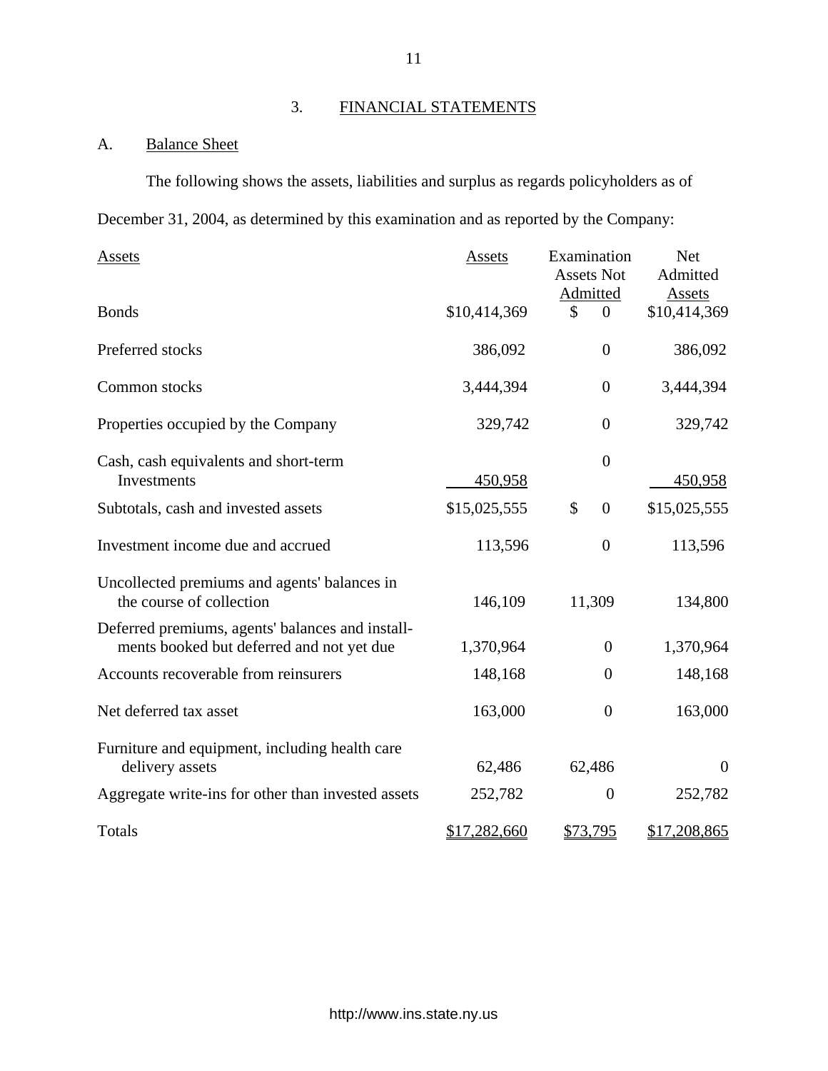# 3. FINANCIAL STATEMENTS

## <span id="page-12-0"></span>A. Balance Sheet

The following shows the assets, liabilities and surplus as regards policyholders as of December 31, 2004, as determined by this examination and as reported by the Company:

| <b>Assets</b>                                                                                 | Assets       | Examination<br><b>Assets Not</b><br>Admitted | <b>Net</b><br>Admitted<br>Assets |
|-----------------------------------------------------------------------------------------------|--------------|----------------------------------------------|----------------------------------|
| <b>Bonds</b>                                                                                  | \$10,414,369 | \$<br>$\theta$                               | \$10,414,369                     |
| Preferred stocks                                                                              | 386,092      | $\theta$                                     | 386,092                          |
| Common stocks                                                                                 | 3,444,394    | $\boldsymbol{0}$                             | 3,444,394                        |
| Properties occupied by the Company                                                            | 329,742      | $\overline{0}$                               | 329,742                          |
| Cash, cash equivalents and short-term<br>Investments                                          | 450,958      | $\boldsymbol{0}$                             | 450,958                          |
| Subtotals, cash and invested assets                                                           | \$15,025,555 | \$<br>$\boldsymbol{0}$                       | \$15,025,555                     |
| Investment income due and accrued                                                             | 113,596      | $\overline{0}$                               | 113,596                          |
| Uncollected premiums and agents' balances in<br>the course of collection                      | 146,109      | 11,309                                       | 134,800                          |
| Deferred premiums, agents' balances and install-<br>ments booked but deferred and not yet due | 1,370,964    | $\overline{0}$                               | 1,370,964                        |
| Accounts recoverable from reinsurers                                                          | 148,168      | $\overline{0}$                               | 148,168                          |
| Net deferred tax asset                                                                        | 163,000      | $\overline{0}$                               | 163,000                          |
| Furniture and equipment, including health care<br>delivery assets                             | 62,486       | 62,486                                       | $\theta$                         |
| Aggregate write-ins for other than invested assets                                            | 252,782      | $\overline{0}$                               | 252,782                          |
| Totals                                                                                        | \$17,282,660 | \$73,795                                     | \$17,208,865                     |

11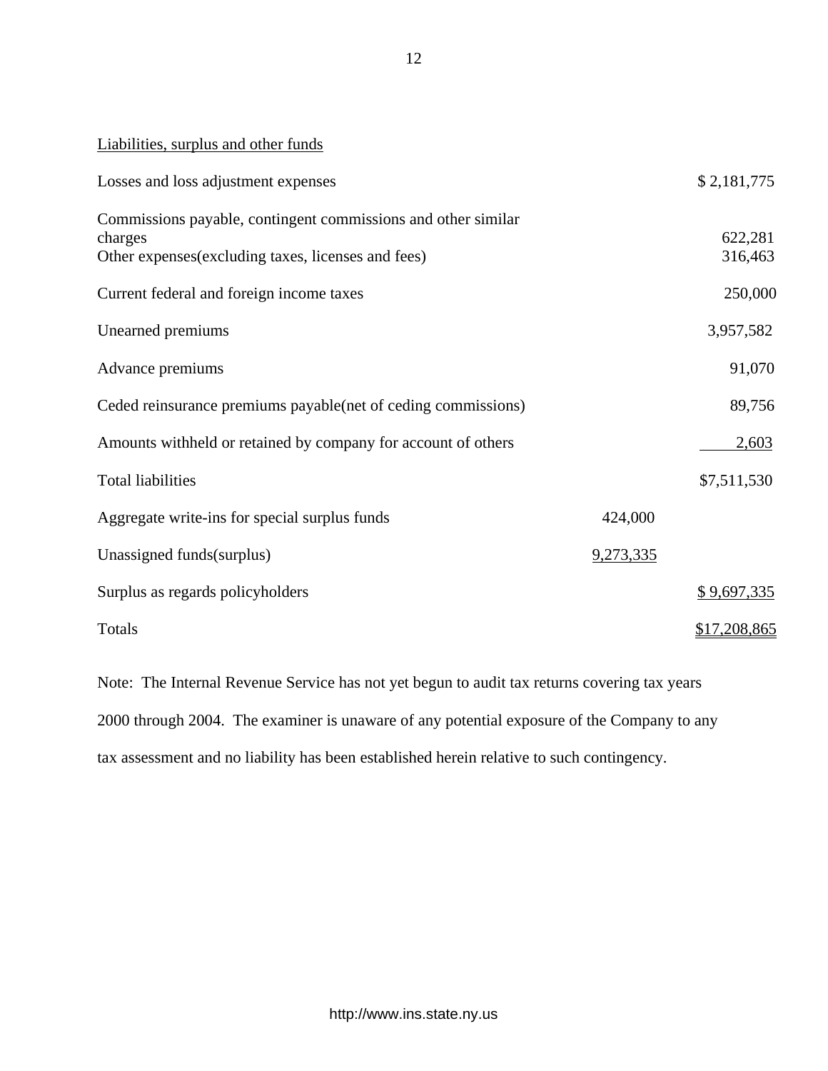## Liabilities, surplus and other funds

| Losses and loss adjustment expenses                                                                                             |           | \$2,181,775        |
|---------------------------------------------------------------------------------------------------------------------------------|-----------|--------------------|
| Commissions payable, contingent commissions and other similar<br>charges<br>Other expenses (excluding taxes, licenses and fees) |           | 622,281<br>316,463 |
| Current federal and foreign income taxes                                                                                        |           | 250,000            |
| Unearned premiums                                                                                                               |           | 3,957,582          |
| Advance premiums                                                                                                                |           | 91,070             |
| Ceded reinsurance premiums payable (net of ceding commissions)                                                                  |           | 89,756             |
| Amounts withheld or retained by company for account of others                                                                   |           | 2,603              |
| <b>Total liabilities</b>                                                                                                        |           | \$7,511,530        |
| Aggregate write-ins for special surplus funds                                                                                   | 424,000   |                    |
| Unassigned funds (surplus)                                                                                                      | 9,273,335 |                    |
| Surplus as regards policyholders                                                                                                |           | \$9,697,335        |
| Totals                                                                                                                          |           | \$17,208,865       |

Note: The Internal Revenue Service has not yet begun to audit tax returns covering tax years 2000 through 2004. The examiner is unaware of any potential exposure of the Company to any tax assessment and no liability has been established herein relative to such contingency.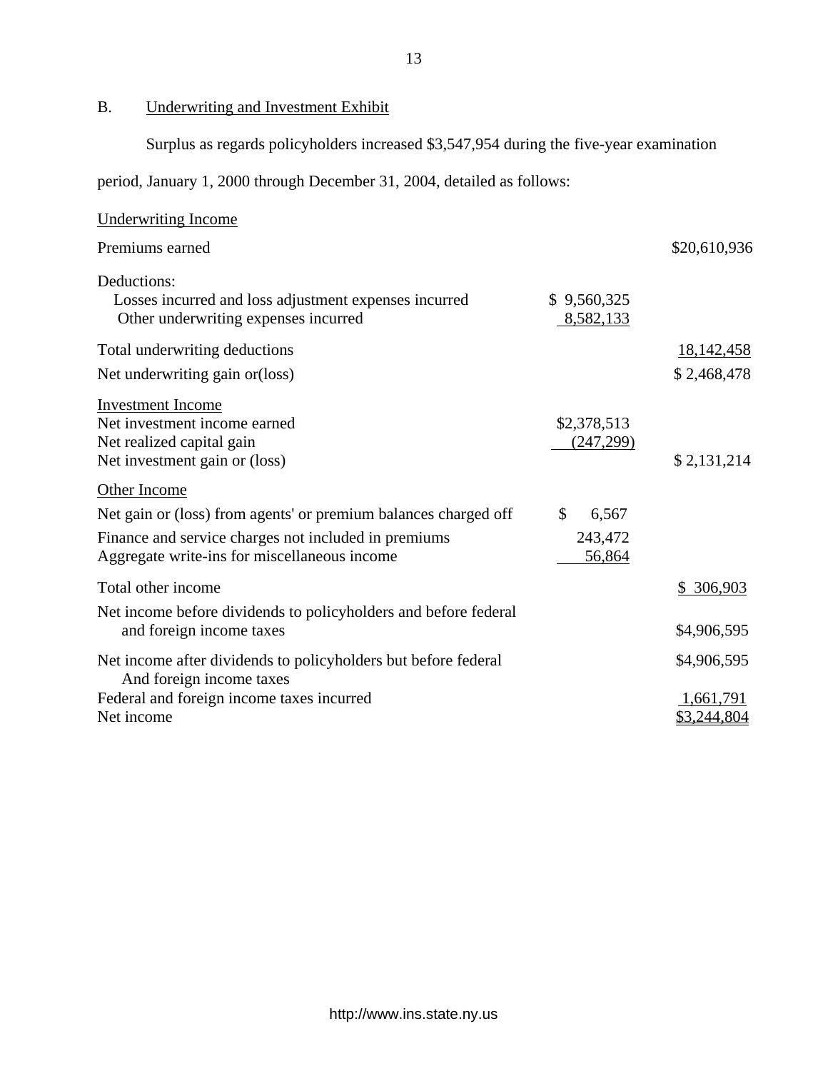# B. Underwriting and Investment Exhibit

Surplus as regards policyholders increased \$3,547,954 during the five-year examination

period, January 1, 2000 through December 31, 2004, detailed as follows:

| Underwriting Income                                                                                                                                                     |                                  |                                 |
|-------------------------------------------------------------------------------------------------------------------------------------------------------------------------|----------------------------------|---------------------------------|
| Premiums earned                                                                                                                                                         |                                  | \$20,610,936                    |
| Deductions:<br>Losses incurred and loss adjustment expenses incurred<br>Other underwriting expenses incurred                                                            | \$9,560,325<br>8,582,133         |                                 |
| Total underwriting deductions                                                                                                                                           |                                  | 18, 142, 458                    |
| Net underwriting gain or (loss)                                                                                                                                         |                                  | \$2,468,478                     |
| <b>Investment Income</b><br>Net investment income earned<br>Net realized capital gain<br>Net investment gain or (loss)                                                  | \$2,378,513<br>(247, 299)        | \$2,131,214                     |
| Other Income                                                                                                                                                            |                                  |                                 |
| Net gain or (loss) from agents' or premium balances charged off<br>Finance and service charges not included in premiums<br>Aggregate write-ins for miscellaneous income | \$<br>6,567<br>243,472<br>56,864 |                                 |
| Total other income                                                                                                                                                      |                                  | \$306,903                       |
| Net income before dividends to policyholders and before federal<br>and foreign income taxes                                                                             |                                  | \$4,906,595                     |
| Net income after dividends to policyholders but before federal<br>And foreign income taxes                                                                              |                                  | \$4,906,595                     |
| Federal and foreign income taxes incurred<br>Net income                                                                                                                 |                                  | <u>1,661,791</u><br>\$3,244,804 |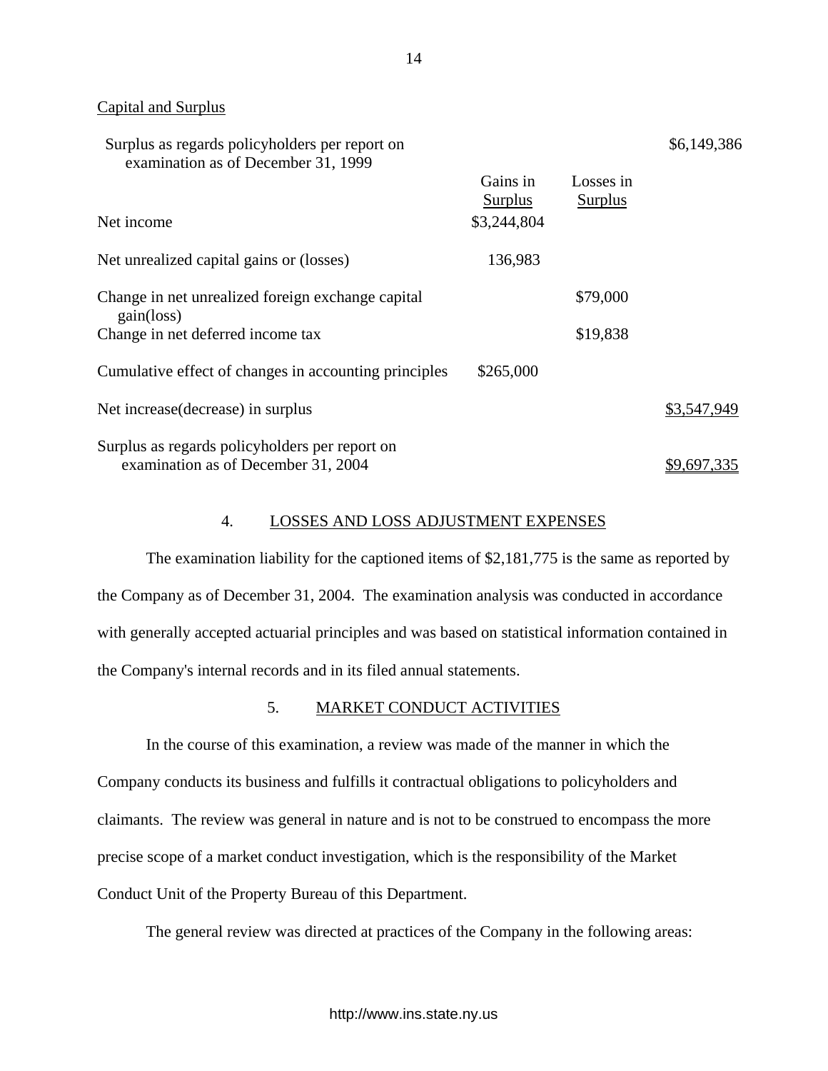## Capital and Surplus

| Surplus as regards policyholders per report on<br>examination as of December 31, 1999 |                     |                             | \$6,149,386 |
|---------------------------------------------------------------------------------------|---------------------|-----------------------------|-------------|
|                                                                                       | Gains in<br>Surplus | Losses in<br><b>Surplus</b> |             |
| Net income                                                                            | \$3,244,804         |                             |             |
| Net unrealized capital gains or (losses)                                              | 136,983             |                             |             |
| Change in net unrealized foreign exchange capital<br>$gain(\text{loss})$              |                     | \$79,000                    |             |
| Change in net deferred income tax                                                     |                     | \$19,838                    |             |
| Cumulative effect of changes in accounting principles                                 | \$265,000           |                             |             |
| Net increase (decrease) in surplus                                                    |                     |                             | \$3,547,949 |
| Surplus as regards policyholders per report on<br>examination as of December 31, 2004 |                     |                             | \$9,697,335 |

## 4. LOSSES AND LOSS ADJUSTMENT EXPENSES

The examination liability for the captioned items of \$2,181,775 is the same as reported by the Company as of December 31, 2004. The examination analysis was conducted in accordance with generally accepted actuarial principles and was based on statistical information contained in the Company's internal records and in its filed annual statements.

## 5. MARKET CONDUCT ACTIVITIES

In the course of this examination, a review was made of the manner in which the Company conducts its business and fulfills it contractual obligations to policyholders and claimants. The review was general in nature and is not to be construed to encompass the more precise scope of a market conduct investigation, which is the responsibility of the Market Conduct Unit of the Property Bureau of this Department.

The general review was directed at practices of the Company in the following areas: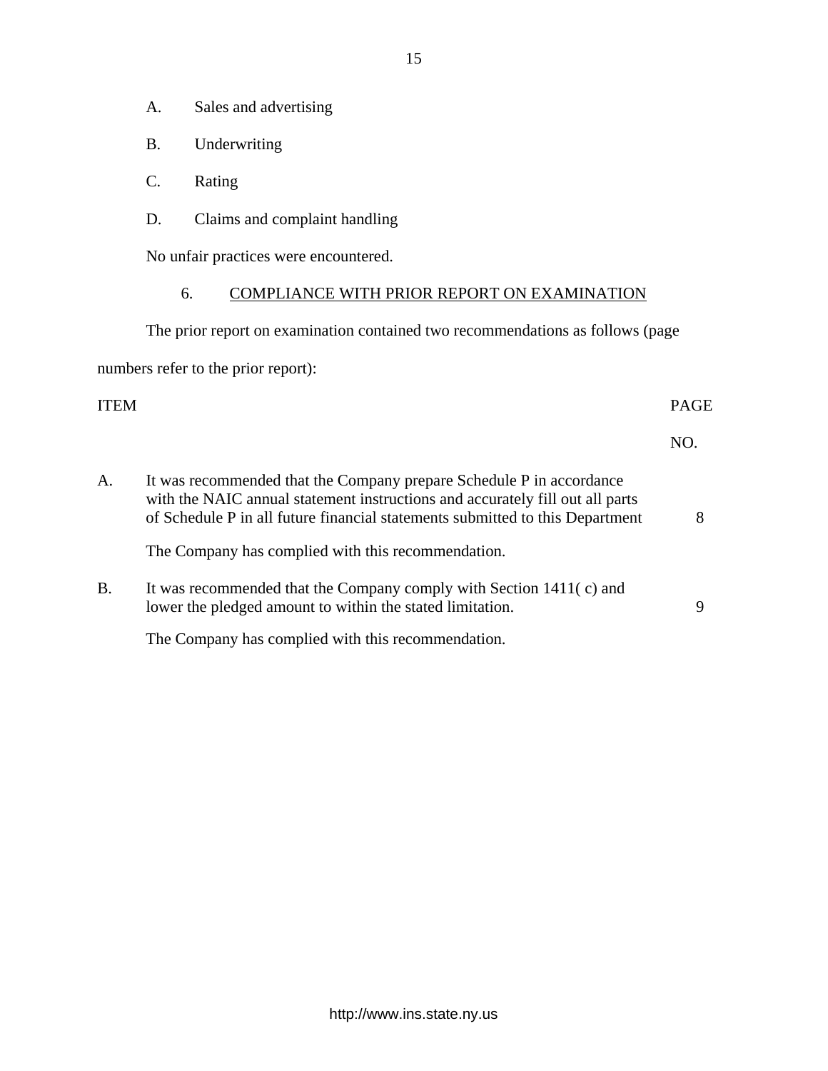- <span id="page-16-0"></span>B. Underwriting
- C. Rating
- D. Claims and complaint handling

No unfair practices were encountered.

## 6. COMPLIANCE WITH PRIOR REPORT ON EXAMINATION

The prior report on examination contained two recommendations as follows (page

numbers refer to the prior report):

## ITEM PAGE

NO.

| A.        | It was recommended that the Company prepare Schedule P in accordance<br>with the NAIC annual statement instructions and accurately fill out all parts<br>of Schedule P in all future financial statements submitted to this Department |   |  |
|-----------|----------------------------------------------------------------------------------------------------------------------------------------------------------------------------------------------------------------------------------------|---|--|
|           | The Company has complied with this recommendation.                                                                                                                                                                                     |   |  |
| <b>B.</b> | It was recommended that the Company comply with Section 1411(c) and<br>lower the pledged amount to within the stated limitation.                                                                                                       | 9 |  |

The Company has complied with this recommendation.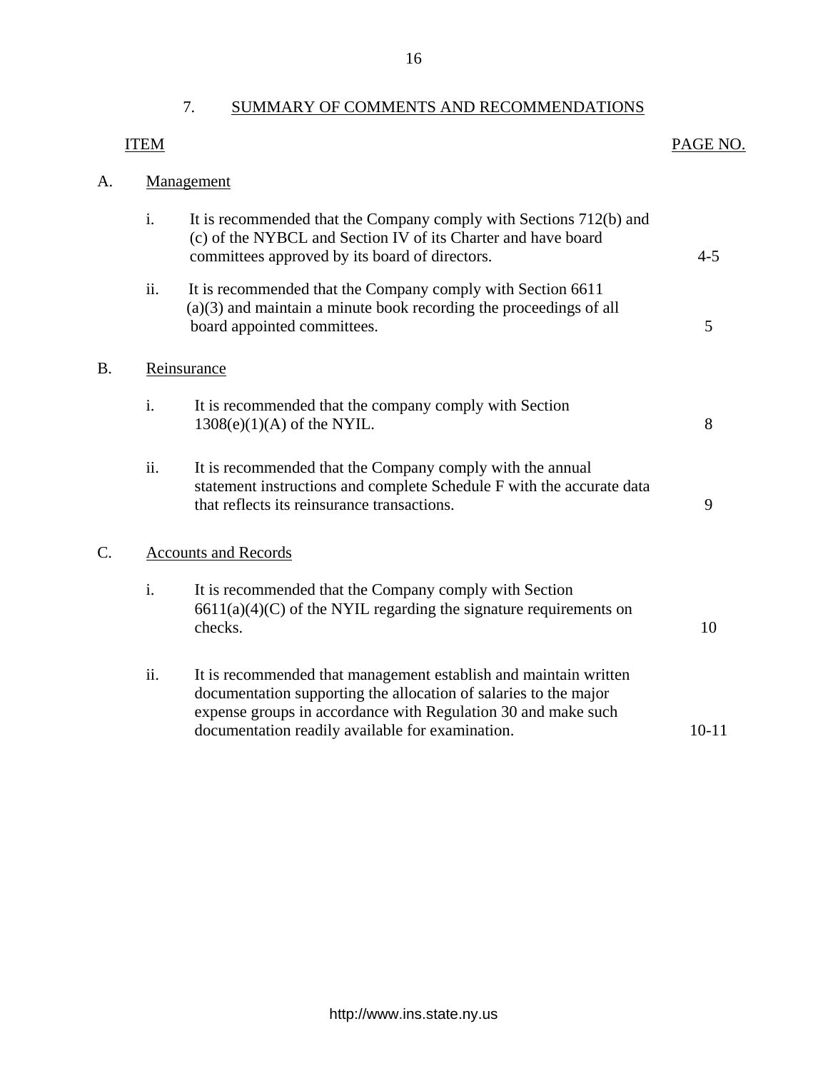|    | <b>ITEM</b> |                                                                                                                                                                                                                                                           | PAGE NO.  |
|----|-------------|-----------------------------------------------------------------------------------------------------------------------------------------------------------------------------------------------------------------------------------------------------------|-----------|
| A. |             | Management                                                                                                                                                                                                                                                |           |
|    | i.          | It is recommended that the Company comply with Sections 712(b) and<br>(c) of the NYBCL and Section IV of its Charter and have board<br>committees approved by its board of directors.                                                                     | $4 - 5$   |
|    | ii.         | It is recommended that the Company comply with Section 6611<br>$(a)(3)$ and maintain a minute book recording the proceedings of all<br>board appointed committees.                                                                                        | 5         |
| B. |             | Reinsurance                                                                                                                                                                                                                                               |           |
|    | i.          | It is recommended that the company comply with Section<br>$1308(e)(1)(A)$ of the NYIL.                                                                                                                                                                    | 8         |
|    | ii.         | It is recommended that the Company comply with the annual<br>statement instructions and complete Schedule F with the accurate data<br>that reflects its reinsurance transactions.                                                                         | 9         |
| Ċ. |             | <b>Accounts and Records</b>                                                                                                                                                                                                                               |           |
|    | i.          | It is recommended that the Company comply with Section<br>$6611(a)(4)(C)$ of the NYIL regarding the signature requirements on<br>checks.                                                                                                                  | 10        |
|    | ii.         | It is recommended that management establish and maintain written<br>documentation supporting the allocation of salaries to the major<br>expense groups in accordance with Regulation 30 and make such<br>documentation readily available for examination. | $10 - 11$ |

7. SUMMARY OF COMMENTS AND RECOMMENDATIONS

A.

B.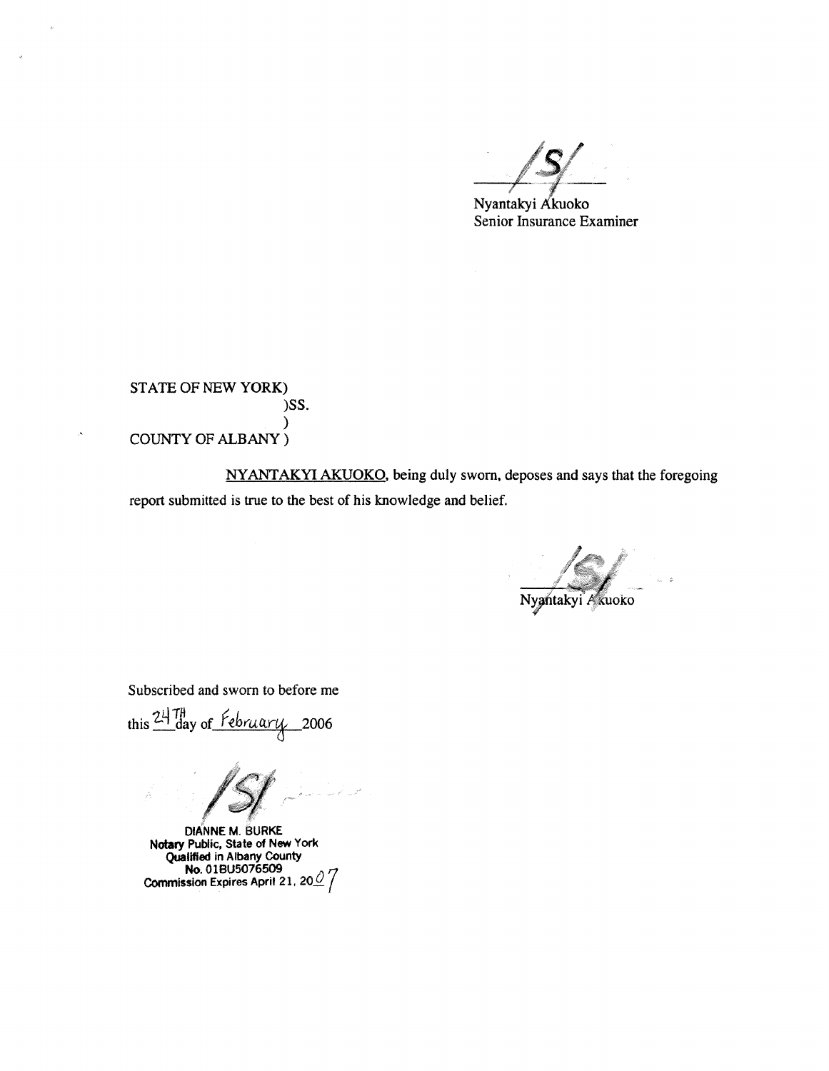Nyantakyi Senior Insurance Examiner

STATE OF NEW YORK) )SS. ) COUNTY OF ALBANY )

 $\lambda$ 

NY ANT AKYI AKUOKO, being duly sworn, deposes and says that the foregoing report submitted is true to the best of his knowledge and belief.

Nygntakyi A kuoko

Subscribed and sworn to before me

this  $\frac{247h}{3}$  of February 2006

**DIANNE M.** BURKE **Notary Public, State of New York Qualified in Albany County<br>
<b>No.01BU5076509**<br> **Commission Expires April 21, 20.Q**